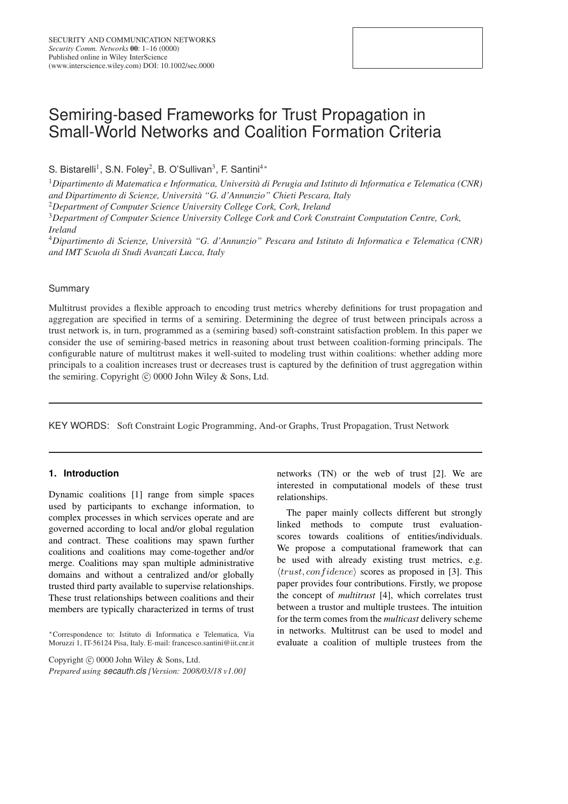# Semiring-based Frameworks for Trust Propagation in Small-World Networks and Coalition Formation Criteria

S. Bistarelli<sup>1</sup>, S.N. Foley<sup>2</sup>, B. O'Sullivan<sup>3</sup>, F. Santini<sup>4\*</sup>

<sup>1</sup>*Dipartimento di Matematica e Informatica, Universita di Perugia and Istituto di Informatica e Telematica (CNR) ` and Dipartimento di Scienze, Universita "G. d'Annunzio" Chieti Pescara, Italy `*

<sup>2</sup>*Department of Computer Science University College Cork, Cork, Ireland*

<sup>3</sup>*Department of Computer Science University College Cork and Cork Constraint Computation Centre, Cork, Ireland*

<sup>4</sup>*Dipartimento di Scienze, Universita "G. d'Annunzio" Pescara and Istituto di Informatica e Telematica (CNR) ` and IMT Scuola di Studi Avanzati Lucca, Italy*

## Summary

Multitrust provides a flexible approach to encoding trust metrics whereby definitions for trust propagation and aggregation are specified in terms of a semiring. Determining the degree of trust between principals across a trust network is, in turn, programmed as a (semiring based) soft-constraint satisfaction problem. In this paper we consider the use of semiring-based metrics in reasoning about trust between coalition-forming principals. The configurable nature of multitrust makes it well-suited to modeling trust within coalitions: whether adding more principals to a coalition increases trust or decreases trust is captured by the definition of trust aggregation within the semiring. Copyright  $\odot$  0000 John Wiley & Sons, Ltd.

KEY WORDS: Soft Constraint Logic Programming, And-or Graphs, Trust Propagation, Trust Network

## **1. Introduction**

Dynamic coalitions [1] range from simple spaces used by participants to exchange information, to complex processes in which services operate and are governed according to local and/or global regulation and contract. These coalitions may spawn further coalitions and coalitions may come-together and/or merge. Coalitions may span multiple administrative domains and without a centralized and/or globally trusted third party available to supervise relationships. These trust relationships between coalitions and their members are typically characterized in terms of trust

<sup>∗</sup>Correspondence to: Istituto di Informatica e Telematica, Via Moruzzi 1, IT-56124 Pisa, Italy. E-mail: francesco.santini@iit.cnr.it

Copyright  $@$  0000 John Wiley & Sons, Ltd. *Prepared using secauth.cls [Version: 2008/03/18 v1.00]* networks (TN) or the web of trust [2]. We are interested in computational models of these trust relationships.

The paper mainly collects different but strongly linked methods to compute trust evaluationscores towards coalitions of entities/individuals. We propose a computational framework that can be used with already existing trust metrics, e.g.  $\langle trust, confidence \rangle$  scores as proposed in [3]. This paper provides four contributions. Firstly, we propose the concept of *multitrust* [4], which correlates trust between a trustor and multiple trustees. The intuition for the term comes from the *multicast* delivery scheme in networks. Multitrust can be used to model and evaluate a coalition of multiple trustees from the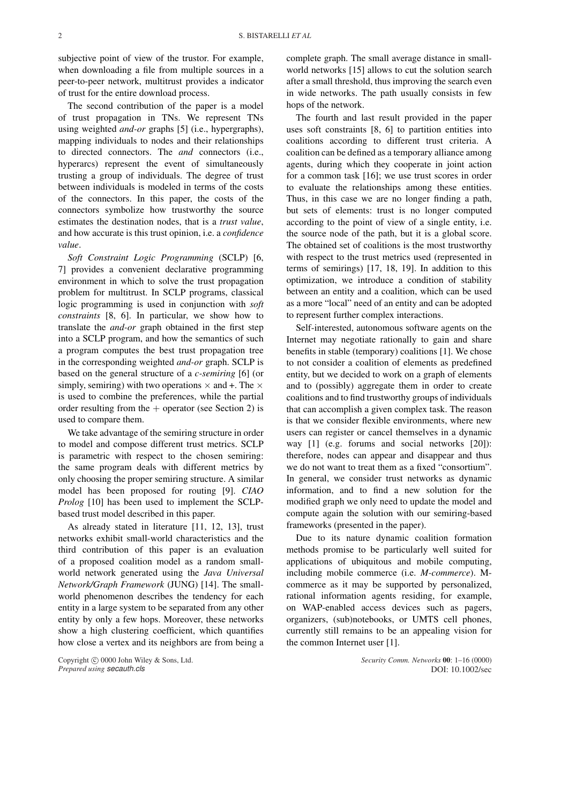subjective point of view of the trustor. For example, when downloading a file from multiple sources in a peer-to-peer network, multitrust provides a indicator of trust for the entire download process.

The second contribution of the paper is a model of trust propagation in TNs. We represent TNs using weighted *and-or* graphs [5] (i.e., hypergraphs), mapping individuals to nodes and their relationships to directed connectors. The *and* connectors (i.e., hyperarcs) represent the event of simultaneously trusting a group of individuals. The degree of trust between individuals is modeled in terms of the costs of the connectors. In this paper, the costs of the connectors symbolize how trustworthy the source estimates the destination nodes, that is a *trust value*, and how accurate is this trust opinion, i.e. a *confidence value*.

*Soft Constraint Logic Programming* (SCLP) [6, 7] provides a convenient declarative programming environment in which to solve the trust propagation problem for multitrust. In SCLP programs, classical logic programming is used in conjunction with *soft constraints* [8, 6]. In particular, we show how to translate the *and-or* graph obtained in the first step into a SCLP program, and how the semantics of such a program computes the best trust propagation tree in the corresponding weighted *and-or* graph. SCLP is based on the general structure of a *c-semiring* [6] (or simply, semiring) with two operations  $\times$  and +. The  $\times$ is used to combine the preferences, while the partial order resulting from the  $+$  operator (see Section 2) is used to compare them.

We take advantage of the semiring structure in order to model and compose different trust metrics. SCLP is parametric with respect to the chosen semiring: the same program deals with different metrics by only choosing the proper semiring structure. A similar model has been proposed for routing [9]. *CIAO Prolog* [10] has been used to implement the SCLPbased trust model described in this paper.

As already stated in literature [11, 12, 13], trust networks exhibit small-world characteristics and the third contribution of this paper is an evaluation of a proposed coalition model as a random smallworld network generated using the *Java Universal Network/Graph Framework* (JUNG) [14]. The smallworld phenomenon describes the tendency for each entity in a large system to be separated from any other entity by only a few hops. Moreover, these networks show a high clustering coefficient, which quantifies how close a vertex and its neighbors are from being a complete graph. The small average distance in smallworld networks [15] allows to cut the solution search after a small threshold, thus improving the search even in wide networks. The path usually consists in few hops of the network.

The fourth and last result provided in the paper uses soft constraints [8, 6] to partition entities into coalitions according to different trust criteria. A coalition can be defined as a temporary alliance among agents, during which they cooperate in joint action for a common task [16]; we use trust scores in order to evaluate the relationships among these entities. Thus, in this case we are no longer finding a path, but sets of elements: trust is no longer computed according to the point of view of a single entity, i.e. the source node of the path, but it is a global score. The obtained set of coalitions is the most trustworthy with respect to the trust metrics used (represented in terms of semirings) [17, 18, 19]. In addition to this optimization, we introduce a condition of stability between an entity and a coalition, which can be used as a more "local" need of an entity and can be adopted to represent further complex interactions.

Self-interested, autonomous software agents on the Internet may negotiate rationally to gain and share benefits in stable (temporary) coalitions [1]. We chose to not consider a coalition of elements as predefined entity, but we decided to work on a graph of elements and to (possibly) aggregate them in order to create coalitions and to find trustworthy groups of individuals that can accomplish a given complex task. The reason is that we consider flexible environments, where new users can register or cancel themselves in a dynamic way [1] (e.g. forums and social networks [20]): therefore, nodes can appear and disappear and thus we do not want to treat them as a fixed "consortium". In general, we consider trust networks as dynamic information, and to find a new solution for the modified graph we only need to update the model and compute again the solution with our semiring-based frameworks (presented in the paper).

Due to its nature dynamic coalition formation methods promise to be particularly well suited for applications of ubiquitous and mobile computing, including mobile commerce (i.e. *M-commerce*). Mcommerce as it may be supported by personalized, rational information agents residing, for example, on WAP-enabled access devices such as pagers, organizers, (sub)notebooks, or UMTS cell phones, currently still remains to be an appealing vision for the common Internet user [1].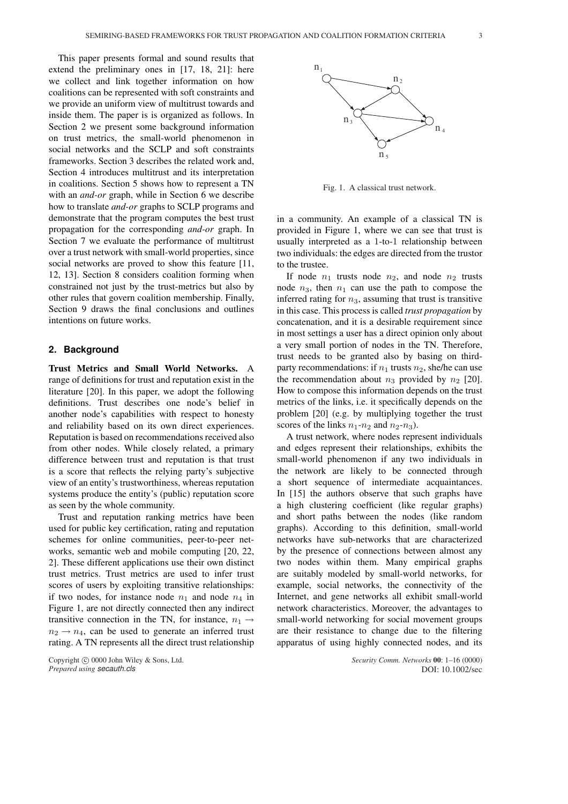This paper presents formal and sound results that extend the preliminary ones in [17, 18, 21]: here we collect and link together information on how coalitions can be represented with soft constraints and we provide an uniform view of multitrust towards and inside them. The paper is is organized as follows. In Section 2 we present some background information on trust metrics, the small-world phenomenon in social networks and the SCLP and soft constraints frameworks. Section 3 describes the related work and, Section 4 introduces multitrust and its interpretation in coalitions. Section 5 shows how to represent a TN with an *and-or* graph, while in Section 6 we describe how to translate *and-or* graphs to SCLP programs and demonstrate that the program computes the best trust propagation for the corresponding *and-or* graph. In Section 7 we evaluate the performance of multitrust over a trust network with small-world properties, since social networks are proved to show this feature [11, 12, 13]. Section 8 considers coalition forming when constrained not just by the trust-metrics but also by other rules that govern coalition membership. Finally, Section 9 draws the final conclusions and outlines intentions on future works.

#### **2. Background**

Trust Metrics and Small World Networks. A range of definitions for trust and reputation exist in the literature [20]. In this paper, we adopt the following definitions. Trust describes one node's belief in another node's capabilities with respect to honesty and reliability based on its own direct experiences. Reputation is based on recommendations received also from other nodes. While closely related, a primary difference between trust and reputation is that trust is a score that reflects the relying party's subjective view of an entity's trustworthiness, whereas reputation systems produce the entity's (public) reputation score as seen by the whole community.

Trust and reputation ranking metrics have been used for public key certification, rating and reputation schemes for online communities, peer-to-peer networks, semantic web and mobile computing [20, 22, 2]. These different applications use their own distinct trust metrics. Trust metrics are used to infer trust scores of users by exploiting transitive relationships: if two nodes, for instance node  $n_1$  and node  $n_4$  in Figure 1, are not directly connected then any indirect transitive connection in the TN, for instance,  $n_1 \rightarrow$  $n_2 \rightarrow n_4$ , can be used to generate an inferred trust rating. A TN represents all the direct trust relationship



Fig. 1. A classical trust network.

in a community. An example of a classical TN is provided in Figure 1, where we can see that trust is usually interpreted as a 1-to-1 relationship between two individuals: the edges are directed from the trustor to the trustee.

If node  $n_1$  trusts node  $n_2$ , and node  $n_2$  trusts node  $n_3$ , then  $n_1$  can use the path to compose the inferred rating for  $n_3$ , assuming that trust is transitive in this case. This process is called *trust propagation* by concatenation, and it is a desirable requirement since in most settings a user has a direct opinion only about a very small portion of nodes in the TN. Therefore, trust needs to be granted also by basing on thirdparty recommendations: if  $n_1$  trusts  $n_2$ , she/he can use the recommendation about  $n_3$  provided by  $n_2$  [20]. How to compose this information depends on the trust metrics of the links, i.e. it specifically depends on the problem [20] (e.g. by multiplying together the trust scores of the links  $n_1-n_2$  and  $n_2-n_3$ ).

A trust network, where nodes represent individuals and edges represent their relationships, exhibits the small-world phenomenon if any two individuals in the network are likely to be connected through a short sequence of intermediate acquaintances. In [15] the authors observe that such graphs have a high clustering coefficient (like regular graphs) and short paths between the nodes (like random graphs). According to this definition, small-world networks have sub-networks that are characterized by the presence of connections between almost any two nodes within them. Many empirical graphs are suitably modeled by small-world networks, for example, social networks, the connectivity of the Internet, and gene networks all exhibit small-world network characteristics. Moreover, the advantages to small-world networking for social movement groups are their resistance to change due to the filtering apparatus of using highly connected nodes, and its

Copyright  $@$  0000 John Wiley & Sons, Ltd. *Prepared using secauth.cls*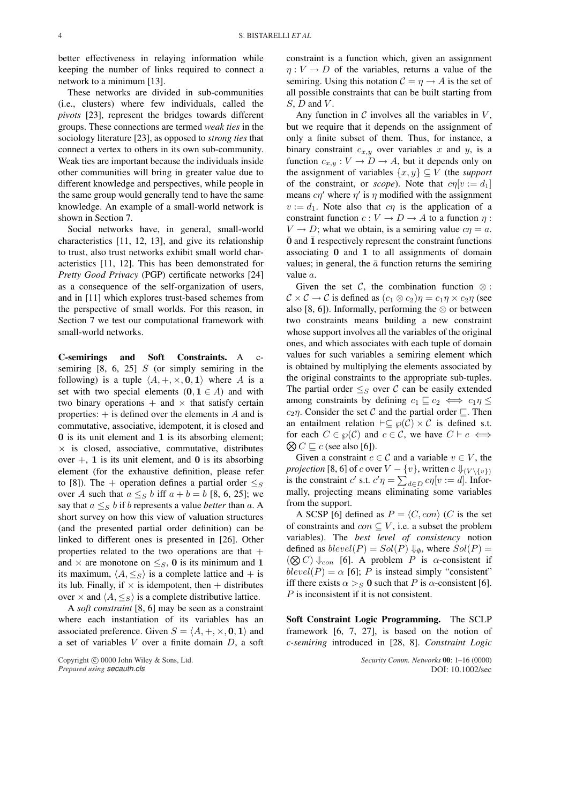better effectiveness in relaying information while keeping the number of links required to connect a network to a minimum [13].

These networks are divided in sub-communities (i.e., clusters) where few individuals, called the *pivots* [23], represent the bridges towards different groups. These connections are termed *weak ties* in the sociology literature [23], as opposed to *strong ties* that connect a vertex to others in its own sub-community. Weak ties are important because the individuals inside other communities will bring in greater value due to different knowledge and perspectives, while people in the same group would generally tend to have the same knowledge. An example of a small-world network is shown in Section 7.

Social networks have, in general, small-world characteristics [11, 12, 13], and give its relationship to trust, also trust networks exhibit small world characteristics [11, 12]. This has been demonstrated for *Pretty Good Privacy* (PGP) certificate networks [24] as a consequence of the self-organization of users, and in [11] which explores trust-based schemes from the perspective of small worlds. For this reason, in Section 7 we test our computational framework with small-world networks.

C-semirings and Soft Constraints. A csemiring  $[8, 6, 25]$  S (or simply semiring in the following) is a tuple  $\langle A, +, \times, \mathbf{0}, \mathbf{1} \rangle$  where A is a set with two special elements  $(0, 1 \in A)$  and with two binary operations  $+$  and  $\times$  that satisfy certain properties:  $+$  is defined over the elements in A and is commutative, associative, idempotent, it is closed and 0 is its unit element and 1 is its absorbing element;  $\times$  is closed, associative, commutative, distributes over  $+$ , 1 is its unit element, and 0 is its absorbing element (for the exhaustive definition, please refer to [8]). The + operation defines a partial order  $\leq_S$ over A such that  $a \leq_S b$  iff  $a + b = b$  [8, 6, 25]; we say that  $a \leq_S b$  if b represents a value *better* than a. A short survey on how this view of valuation structures (and the presented partial order definition) can be linked to different ones is presented in [26]. Other properties related to the two operations are that  $+$ and  $\times$  are monotone on  $\leq_S$ , 0 is its minimum and 1 its maximum,  $\langle A, \leq_S \rangle$  is a complete lattice and + is its lub. Finally, if  $\times$  is idempotent, then  $+$  distributes over  $\times$  and  $\langle A, \leq_S \rangle$  is a complete distributive lattice.

A *soft constraint* [8, 6] may be seen as a constraint where each instantiation of its variables has an associated preference. Given  $S = \langle A, +, \times, \mathbf{0}, \mathbf{1} \rangle$  and a set of variables  $V$  over a finite domain  $D$ , a soft constraint is a function which, given an assignment  $\eta: V \to D$  of the variables, returns a value of the semiring. Using this notation  $C = \eta \rightarrow A$  is the set of all possible constraints that can be built starting from  $S, D$  and  $V$ .

Any function in  $\mathcal C$  involves all the variables in  $V$ . but we require that it depends on the assignment of only a finite subset of them. Thus, for instance, a binary constraint  $c_{x,y}$  over variables x and y, is a function  $c_{x,y}: V \to D \to A$ , but it depends only on the assignment of variables  $\{x, y\} \subseteq V$  (the *support* of the constraint, or *scope*). Note that  $c\eta[v := d_1]$ means  $c\eta'$  where  $\eta'$  is  $\eta$  modified with the assignment  $v := d_1$ . Note also that c $\eta$  is the application of a constraint function  $c: V \to D \to A$  to a function  $\eta$ :  $V \rightarrow D$ ; what we obtain, is a semiring value  $c\eta = a$ .  $\overline{0}$  and  $\overline{1}$  respectively represent the constraint functions associating 0 and 1 to all assignments of domain values; in general, the  $\bar{a}$  function returns the semiring value a.

Given the set  $\mathcal{C}$ , the combination function  $\otimes$ :  $\mathcal{C} \times \mathcal{C} \to \mathcal{C}$  is defined as  $(c_1 \otimes c_2)\eta = c_1\eta \times c_2\eta$  (see also [8, 6]). Informally, performing the  $\otimes$  or between two constraints means building a new constraint whose support involves all the variables of the original ones, and which associates with each tuple of domain values for such variables a semiring element which is obtained by multiplying the elements associated by the original constraints to the appropriate sub-tuples. The partial order  $\leq_S$  over C can be easily extended among constraints by defining  $c_1 \sqsubseteq c_2 \iff c_1 \eta \leq$  $c_2\eta$ . Consider the set C and the partial order  $\sqsubseteq$ . Then an entailment relation  $\vdash \subseteq \wp(\mathcal{C}) \times \mathcal{C}$  is defined s.t. for each  $C \in \wp(\mathcal{C})$  and  $c \in \mathcal{C}$ , we have  $C \vdash c \iff$  $\bigotimes C \sqsubseteq c$  (see also [6]).

Given a constraint  $c \in \mathcal{C}$  and a variable  $v \in V$ , the *projection* [8, 6] of c over  $V - \{v\}$ , written  $c \Downarrow_{(V \setminus \{v\})}$ is the constraint c' s.t.  $c'\eta = \sum_{d \in D} c\eta[v := d]$ . Informally, projecting means eliminating some variables from the support.

A SCSP [6] defined as  $P = \langle C, con \rangle$  (C is the set of constraints and  $con \subseteq V$ , i.e. a subset the problem variables). The *best level of consistency* notion defined as  $blevel(P) = Sol(P) \Downarrow_{\emptyset}$ , where  $Sol(P) =$ defined as  $\omega e \nu e \nu_F = S \nu_F \nu_F$ , where  $S \nu_F = (\otimes C) \Downarrow_{con}$  [6]. A problem *P* is  $\alpha$ -consistent if blevel(P) =  $\alpha$  [6]; P is instead simply "consistent" iff there exists  $\alpha >_S 0$  such that P is  $\alpha$ -consistent [6]. P is inconsistent if it is not consistent.

Soft Constraint Logic Programming. The SCLP framework [6, 7, 27], is based on the notion of *c-semiring* introduced in [28, 8]. *Constraint Logic*

Copyright  $@$  0000 John Wiley & Sons, Ltd. *Prepared using secauth.cls*

*Security Comm. Networks* 00: 1–16 (0000) DOI: 10.1002/sec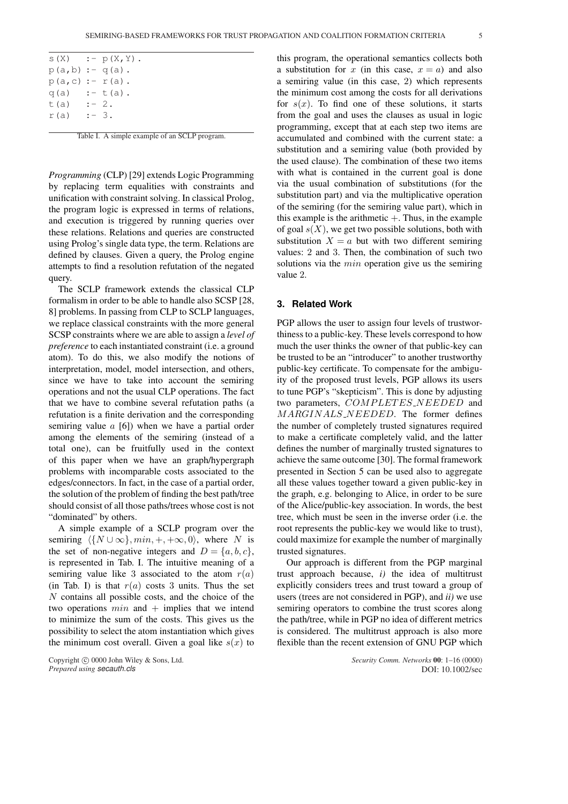|                     | $S(X)$ :- $p(X, Y)$ . |
|---------------------|-----------------------|
| $p(a,b) := q(a)$ .  |                       |
| $p(a, c) := r(a)$ . |                       |
| $q(a)$ :-t(a).      |                       |
| t (a)               | $: -2.$               |
| r(a)                | $: - 3.$              |

Table I. A simple example of an SCLP program.

*Programming* (CLP) [29] extends Logic Programming by replacing term equalities with constraints and unification with constraint solving. In classical Prolog, the program logic is expressed in terms of relations, and execution is triggered by running queries over these relations. Relations and queries are constructed using Prolog's single data type, the term. Relations are defined by clauses. Given a query, the Prolog engine attempts to find a resolution refutation of the negated query.

The SCLP framework extends the classical CLP formalism in order to be able to handle also SCSP [28, 8] problems. In passing from CLP to SCLP languages, we replace classical constraints with the more general SCSP constraints where we are able to assign a *level of preference* to each instantiated constraint (i.e. a ground atom). To do this, we also modify the notions of interpretation, model, model intersection, and others, since we have to take into account the semiring operations and not the usual CLP operations. The fact that we have to combine several refutation paths (a refutation is a finite derivation and the corresponding semiring value  $\alpha$  [6]) when we have a partial order among the elements of the semiring (instead of a total one), can be fruitfully used in the context of this paper when we have an graph/hypergraph problems with incomparable costs associated to the edges/connectors. In fact, in the case of a partial order, the solution of the problem of finding the best path/tree should consist of all those paths/trees whose cost is not "dominated" by others.

A simple example of a SCLP program over the semiring  $\langle \{N \cup \infty\}, min, +, +\infty, 0 \rangle$ , where N is the set of non-negative integers and  $D = \{a, b, c\},\$ is represented in Tab. I. The intuitive meaning of a semiring value like 3 associated to the atom  $r(a)$ (in Tab. I) is that  $r(a)$  costs 3 units. Thus the set N contains all possible costs, and the choice of the two operations  $min$  and  $+$  implies that we intend to minimize the sum of the costs. This gives us the possibility to select the atom instantiation which gives the minimum cost overall. Given a goal like  $s(x)$  to this program, the operational semantics collects both a substitution for x (in this case,  $x = a$ ) and also a semiring value (in this case, 2) which represents the minimum cost among the costs for all derivations for  $s(x)$ . To find one of these solutions, it starts from the goal and uses the clauses as usual in logic programming, except that at each step two items are accumulated and combined with the current state: a substitution and a semiring value (both provided by the used clause). The combination of these two items with what is contained in the current goal is done via the usual combination of substitutions (for the substitution part) and via the multiplicative operation of the semiring (for the semiring value part), which in this example is the arithmetic  $+$ . Thus, in the example of goal  $s(X)$ , we get two possible solutions, both with substitution  $X = a$  but with two different semiring values: 2 and 3. Then, the combination of such two solutions via the  $min$  operation give us the semiring value 2.

#### **3. Related Work**

PGP allows the user to assign four levels of trustworthiness to a public-key. These levels correspond to how much the user thinks the owner of that public-key can be trusted to be an "introducer" to another trustworthy public-key certificate. To compensate for the ambiguity of the proposed trust levels, PGP allows its users to tune PGP's "skepticism". This is done by adjusting two parameters, COMPLETES\_NEEDED and MARGINALS NEEDED. The former defines the number of completely trusted signatures required to make a certificate completely valid, and the latter defines the number of marginally trusted signatures to achieve the same outcome [30]. The formal framework presented in Section 5 can be used also to aggregate all these values together toward a given public-key in the graph, e.g. belonging to Alice, in order to be sure of the Alice/public-key association. In words, the best tree, which must be seen in the inverse order (i.e. the root represents the public-key we would like to trust), could maximize for example the number of marginally trusted signatures.

Our approach is different from the PGP marginal trust approach because, *i)* the idea of multitrust explicitly considers trees and trust toward a group of users (trees are not considered in PGP), and *ii)* we use semiring operators to combine the trust scores along the path/tree, while in PGP no idea of different metrics is considered. The multitrust approach is also more flexible than the recent extension of GNU PGP which

Copyright  $@$  0000 John Wiley & Sons, Ltd. *Prepared using secauth.cls*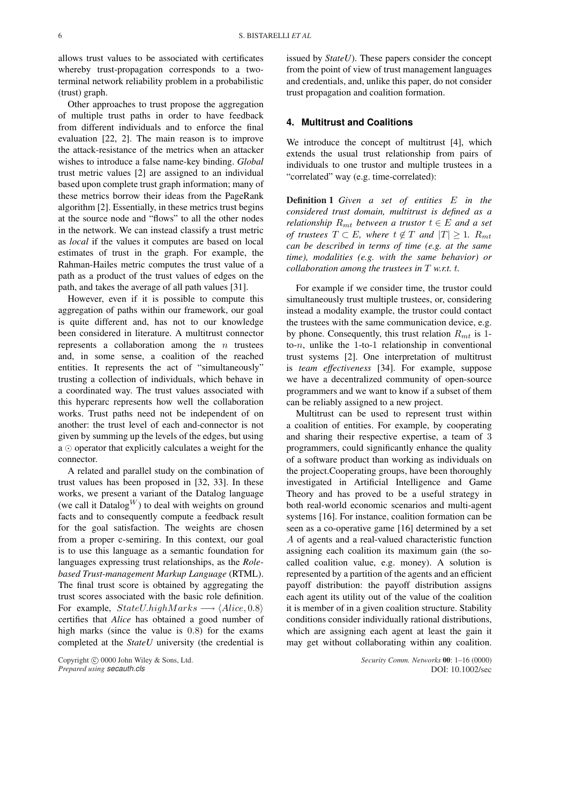allows trust values to be associated with certificates whereby trust-propagation corresponds to a twoterminal network reliability problem in a probabilistic (trust) graph.

Other approaches to trust propose the aggregation of multiple trust paths in order to have feedback from different individuals and to enforce the final evaluation [22, 2]. The main reason is to improve the attack-resistance of the metrics when an attacker wishes to introduce a false name-key binding. *Global* trust metric values [2] are assigned to an individual based upon complete trust graph information; many of these metrics borrow their ideas from the PageRank algorithm [2]. Essentially, in these metrics trust begins at the source node and "flows" to all the other nodes in the network. We can instead classify a trust metric as *local* if the values it computes are based on local estimates of trust in the graph. For example, the Rahman-Hailes metric computes the trust value of a path as a product of the trust values of edges on the path, and takes the average of all path values [31].

However, even if it is possible to compute this aggregation of paths within our framework, our goal is quite different and, has not to our knowledge been considered in literature. A multitrust connector represents a collaboration among the  $n$  trustees and, in some sense, a coalition of the reached entities. It represents the act of "simultaneously" trusting a collection of individuals, which behave in a coordinated way. The trust values associated with this hyperarc represents how well the collaboration works. Trust paths need not be independent of on another: the trust level of each and-connector is not given by summing up the levels of the edges, but using  $a \odot$  operator that explicitly calculates a weight for the connector.

A related and parallel study on the combination of trust values has been proposed in [32, 33]. In these works, we present a variant of the Datalog language (we call it Datalog<sup>W</sup>) to deal with weights on ground facts and to consequently compute a feedback result for the goal satisfaction. The weights are chosen from a proper c-semiring. In this context, our goal is to use this language as a semantic foundation for languages expressing trust relationships, as the *Rolebased Trust-management Markup Language* (RTML). The final trust score is obtained by aggregating the trust scores associated with the basic role definition. For example,  $StateU.highMarks \longrightarrow \langle Alice, 0.8 \rangle$ certifies that *Alice* has obtained a good number of high marks (since the value is 0.8) for the exams completed at the *StateU* university (the credential is issued by *StateU*). These papers consider the concept from the point of view of trust management languages and credentials, and, unlike this paper, do not consider trust propagation and coalition formation.

#### **4. Multitrust and Coalitions**

We introduce the concept of multitrust [4], which extends the usual trust relationship from pairs of individuals to one trustor and multiple trustees in a "correlated" way (e.g. time-correlated):

Definition 1 *Given a set of entities* E *in the considered trust domain, multitrust is defined as a relationship*  $R_{mt}$  *between a trustor*  $t \in E$  *and a set of trustees*  $T \subset E$ *, where*  $t \notin T$  *and*  $|T| \geq 1$ *.*  $R_{mt}$ *can be described in terms of time (e.g. at the same time), modalities (e.g. with the same behavior) or collaboration among the trustees in* T *w.r.t.* t*.*

For example if we consider time, the trustor could simultaneously trust multiple trustees, or, considering instead a modality example, the trustor could contact the trustees with the same communication device, e.g. by phone. Consequently, this trust relation  $R_{mt}$  is 1to- $n$ , unlike the 1-to-1 relationship in conventional trust systems [2]. One interpretation of multitrust is *team effectiveness* [34]. For example, suppose we have a decentralized community of open-source programmers and we want to know if a subset of them can be reliably assigned to a new project.

Multitrust can be used to represent trust within a coalition of entities. For example, by cooperating and sharing their respective expertise, a team of 3 programmers, could significantly enhance the quality of a software product than working as individuals on the project.Cooperating groups, have been thoroughly investigated in Artificial Intelligence and Game Theory and has proved to be a useful strategy in both real-world economic scenarios and multi-agent systems [16]. For instance, coalition formation can be seen as a co-operative game [16] determined by a set A of agents and a real-valued characteristic function assigning each coalition its maximum gain (the socalled coalition value, e.g. money). A solution is represented by a partition of the agents and an efficient payoff distribution: the payoff distribution assigns each agent its utility out of the value of the coalition it is member of in a given coalition structure. Stability conditions consider individually rational distributions, which are assigning each agent at least the gain it may get without collaborating within any coalition.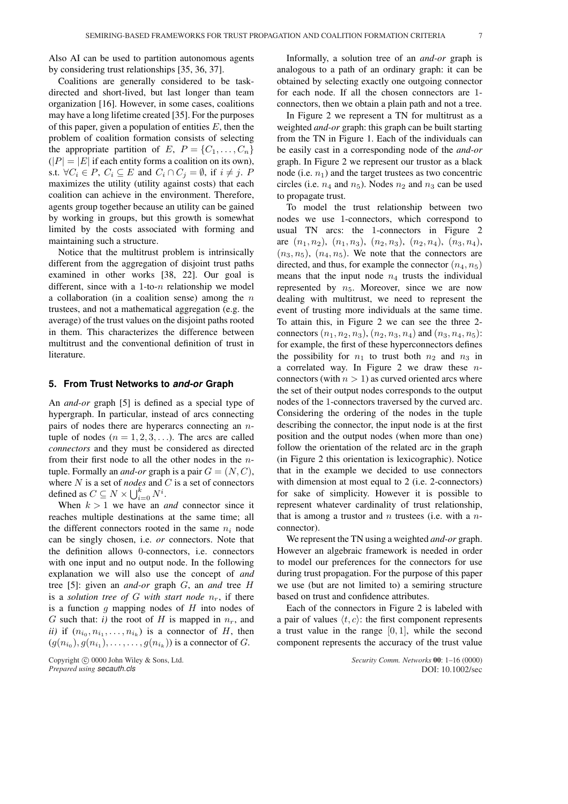Also AI can be used to partition autonomous agents by considering trust relationships [35, 36, 37].

Coalitions are generally considered to be taskdirected and short-lived, but last longer than team organization [16]. However, in some cases, coalitions may have a long lifetime created [35]. For the purposes of this paper, given a population of entities  $E$ , then the problem of coalition formation consists of selecting the appropriate partition of E,  $P = \{C_1, \ldots, C_n\}$  $(|P| = |E|$  if each entity forms a coalition on its own), s.t.  $\forall C_i \in P$ ,  $C_i \subseteq E$  and  $C_i \cap C_j = \emptyset$ , if  $i \neq j$ . P maximizes the utility (utility against costs) that each coalition can achieve in the environment. Therefore, agents group together because an utility can be gained by working in groups, but this growth is somewhat limited by the costs associated with forming and maintaining such a structure.

Notice that the multitrust problem is intrinsically different from the aggregation of disjoint trust paths examined in other works [38, 22]. Our goal is different, since with a 1-to- $n$  relationship we model a collaboration (in a coalition sense) among the  $n$ trustees, and not a mathematical aggregation (e.g. the average) of the trust values on the disjoint paths rooted in them. This characterizes the difference between multitrust and the conventional definition of trust in literature.

#### **5. From Trust Networks to** *and-or* **Graph**

An *and-or* graph [5] is defined as a special type of hypergraph. In particular, instead of arcs connecting pairs of nodes there are hyperarcs connecting an ntuple of nodes  $(n = 1, 2, 3, ...)$ . The arcs are called *connectors* and they must be considered as directed from their first node to all the other nodes in the ntuple. Formally an *and-or* graph is a pair  $G = (N, C)$ , where N is a set of *nodes* and C is a set of connectors defined as  $C \subseteq N \times \bigcup_{i=0}^{k} N^i$ .

When  $k > 1$  we have an *and* connector since it reaches multiple destinations at the same time; all the different connectors rooted in the same  $n_i$  node can be singly chosen, i.e. *or* connectors. Note that the definition allows 0-connectors, i.e. connectors with one input and no output node. In the following explanation we will also use the concept of *and* tree [5]: given an *and-or* graph G, an *and* tree H is a *solution tree of* G with start node  $n_r$ , if there is a function  $q$  mapping nodes of  $H$  into nodes of G such that: *i*) the root of H is mapped in  $n_r$ , and *ii*) if  $(n_{i_0}, n_{i_1}, \ldots, n_{i_k})$  is a connector of H, then  $(g(n_{i_0}), g(n_{i_1}), \ldots, \ldots, g(n_{i_k}))$  is a connector of  $G$ .

Informally, a solution tree of an *and-or* graph is analogous to a path of an ordinary graph: it can be obtained by selecting exactly one outgoing connector for each node. If all the chosen connectors are 1 connectors, then we obtain a plain path and not a tree.

In Figure 2 we represent a TN for multitrust as a weighted *and-or* graph: this graph can be built starting from the TN in Figure 1. Each of the individuals can be easily cast in a corresponding node of the *and-or* graph. In Figure 2 we represent our trustor as a black node (i.e.  $n_1$ ) and the target trustees as two concentric circles (i.e.  $n_4$  and  $n_5$ ). Nodes  $n_2$  and  $n_3$  can be used to propagate trust.

To model the trust relationship between two nodes we use 1-connectors, which correspond to usual TN arcs: the 1-connectors in Figure 2 are  $(n_1, n_2)$ ,  $(n_1, n_3)$ ,  $(n_2, n_3)$ ,  $(n_2, n_4)$ ,  $(n_3, n_4)$ ,  $(n_3, n_5)$ ,  $(n_4, n_5)$ . We note that the connectors are directed, and thus, for example the connector  $(n_4, n_5)$ means that the input node  $n_4$  trusts the individual represented by  $n_5$ . Moreover, since we are now dealing with multitrust, we need to represent the event of trusting more individuals at the same time. To attain this, in Figure 2 we can see the three 2 connectors  $(n_1, n_2, n_3)$ ,  $(n_2, n_3, n_4)$  and  $(n_3, n_4, n_5)$ : for example, the first of these hyperconnectors defines the possibility for  $n_1$  to trust both  $n_2$  and  $n_3$  in a correlated way. In Figure 2 we draw these  $n$ connectors (with  $n > 1$ ) as curved oriented arcs where the set of their output nodes corresponds to the output nodes of the 1-connectors traversed by the curved arc. Considering the ordering of the nodes in the tuple describing the connector, the input node is at the first position and the output nodes (when more than one) follow the orientation of the related arc in the graph (in Figure 2 this orientation is lexicographic). Notice that in the example we decided to use connectors with dimension at most equal to 2 (i.e. 2-connectors) for sake of simplicity. However it is possible to represent whatever cardinality of trust relationship, that is among a trustor and n trustees (i.e. with a  $n$ connector).

We represent the TN using a weighted *and-or* graph. However an algebraic framework is needed in order to model our preferences for the connectors for use during trust propagation. For the purpose of this paper we use (but are not limited to) a semiring structure based on trust and confidence attributes.

Each of the connectors in Figure 2 is labeled with a pair of values  $\langle t, c \rangle$ : the first component represents a trust value in the range  $[0, 1]$ , while the second component represents the accuracy of the trust value

Copyright  $@$  0000 John Wiley & Sons, Ltd. *Prepared using secauth.cls*

*Security Comm. Networks* 00: 1–16 (0000) DOI: 10.1002/sec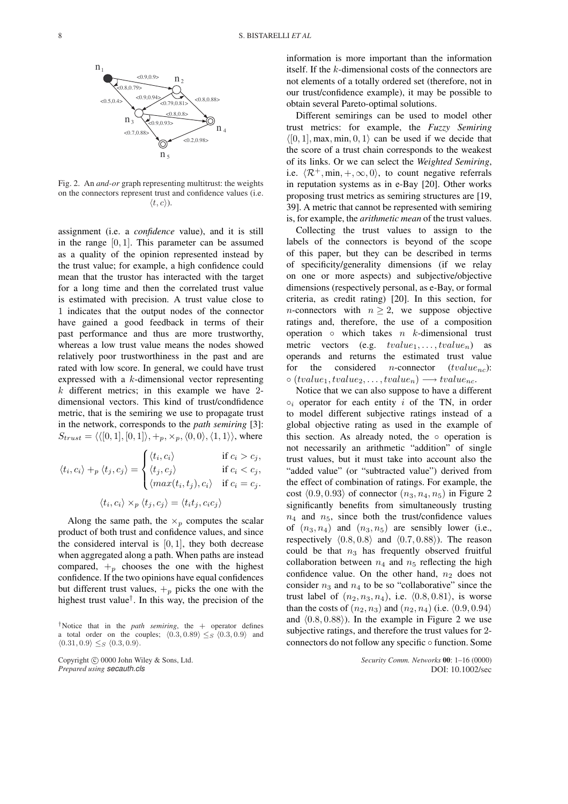

Fig. 2. An *and-or* graph representing multitrust: the weights on the connectors represent trust and confidence values (i.e.  $\langle t, c \rangle$ ).

assignment (i.e. a *confidence* value), and it is still in the range  $[0, 1]$ . This parameter can be assumed as a quality of the opinion represented instead by the trust value; for example, a high confidence could mean that the trustor has interacted with the target for a long time and then the correlated trust value is estimated with precision. A trust value close to 1 indicates that the output nodes of the connector have gained a good feedback in terms of their past performance and thus are more trustworthy, whereas a low trust value means the nodes showed relatively poor trustworthiness in the past and are rated with low score. In general, we could have trust expressed with a k-dimensional vector representing  $k$  different metrics; in this example we have 2dimensional vectors. This kind of trust/condfidence metric, that is the semiring we use to propagate trust in the network, corresponds to the *path semiring* [3]:  $S_{trust} = \langle \langle [0, 1], [0, 1] \rangle, +p, \times_p, \langle 0, 0 \rangle, \langle 1, 1 \rangle \rangle$ , where

$$
\langle t_i, c_i \rangle +_p \langle t_j, c_j \rangle = \begin{cases} \langle t_i, c_i \rangle & \text{if } c_i > c_j, \\ \langle t_j, c_j \rangle & \text{if } c_i < c_j, \\ \langle max(t_i, t_j), c_i \rangle & \text{if } c_i = c_j. \end{cases}
$$

$$
\langle t_i, c_i \rangle \times_p \langle t_j, c_j \rangle = \langle t_i t_j, c_i c_j \rangle
$$

Along the same path, the  $\times_p$  computes the scalar product of both trust and confidence values, and since the considered interval is  $[0, 1]$ , they both decrease when aggregated along a path. When paths are instead compared,  $+_p$  chooses the one with the highest confidence. If the two opinions have equal confidences but different trust values,  $+_p$  picks the one with the highest trust value<sup>†</sup>. In this way, the precision of the

†Notice that in the *path semiring*, the + operator defines a total order on the couples;  $\langle 0.3, 0.89 \rangle \leq_S \langle 0.3, 0.9 \rangle$  and  $\langle 0.31, 0.9 \rangle \leq_S \langle 0.3, 0.9 \rangle.$ 

Copyright  $@$  0000 John Wiley & Sons, Ltd. *Prepared using secauth.cls*

information is more important than the information itself. If the k-dimensional costs of the connectors are not elements of a totally ordered set (therefore, not in our trust/confidence example), it may be possible to obtain several Pareto-optimal solutions.

Different semirings can be used to model other trust metrics: for example, the *Fuzzy Semiring*  $\langle [0, 1], \max, \min, 0, 1 \rangle$  can be used if we decide that the score of a trust chain corresponds to the weakest of its links. Or we can select the *Weighted Semiring*, i.e.  $\langle \mathcal{R}^+, \min, +, \infty, 0 \rangle$ , to count negative referrals in reputation systems as in e-Bay [20]. Other works proposing trust metrics as semiring structures are [19, 39]. A metric that cannot be represented with semiring is, for example, the *arithmetic mean* of the trust values.

Collecting the trust values to assign to the labels of the connectors is beyond of the scope of this paper, but they can be described in terms of specificity/generality dimensions (if we relay on one or more aspects) and subjective/objective dimensions (respectively personal, as e-Bay, or formal criteria, as credit rating) [20]. In this section, for *n*-connectors with  $n > 2$ , we suppose objective ratings and, therefore, the use of a composition operation  $\circ$  which takes *n k*-dimensional trust metric vectors (e.g.  $tvalue_1, \ldots, tvalue_n$ ) as operands and returns the estimated trust value for the considered *n*-connector  $(tvalue_{nc})$ :  $\circ (tvalue_1, tvalue_2, \ldots, tvalue_n) \longrightarrow tvalue_{nc}.$ 

Notice that we can also suppose to have a different  $\circ_i$  operator for each entity i of the TN, in order to model different subjective ratings instead of a global objective rating as used in the example of this section. As already noted, the  $\circ$  operation is not necessarily an arithmetic "addition" of single trust values, but it must take into account also the "added value" (or "subtracted value") derived from the effect of combination of ratings. For example, the cost  $\langle 0.9, 0.93 \rangle$  of connector  $(n_3, n_4, n_5)$  in Figure 2 significantly benefits from simultaneously trusting  $n_4$  and  $n_5$ , since both the trust/confidence values of  $(n_3, n_4)$  and  $(n_3, n_5)$  are sensibly lower (i.e., respectively  $(0.8, 0.8)$  and  $(0.7, 0.88)$ . The reason could be that  $n_3$  has frequently observed fruitful collaboration between  $n_4$  and  $n_5$  reflecting the high confidence value. On the other hand,  $n_2$  does not consider  $n_3$  and  $n_4$  to be so "collaborative" since the trust label of  $(n_2, n_3, n_4)$ , i.e.  $\langle 0.8, 0.81 \rangle$ , is worse than the costs of  $(n_2, n_3)$  and  $(n_2, n_4)$  (i.e.  $\langle 0.9, 0.94 \rangle$ and  $(0.8, 0.88)$ . In the example in Figure 2 we use subjective ratings, and therefore the trust values for 2 connectors do not follow any specific ◦ function. Some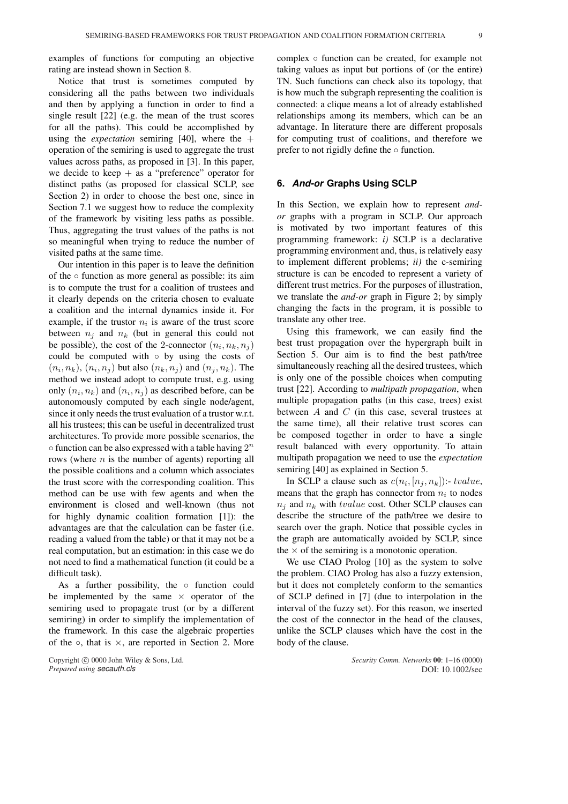examples of functions for computing an objective rating are instead shown in Section 8.

Notice that trust is sometimes computed by considering all the paths between two individuals and then by applying a function in order to find a single result [22] (e.g. the mean of the trust scores for all the paths). This could be accomplished by using the *expectation* semiring [40], where the  $+$ operation of the semiring is used to aggregate the trust values across paths, as proposed in [3]. In this paper, we decide to keep  $+$  as a "preference" operator for distinct paths (as proposed for classical SCLP, see Section 2) in order to choose the best one, since in Section 7.1 we suggest how to reduce the complexity of the framework by visiting less paths as possible. Thus, aggregating the trust values of the paths is not so meaningful when trying to reduce the number of visited paths at the same time.

Our intention in this paper is to leave the definition of the  $\circ$  function as more general as possible: its aim is to compute the trust for a coalition of trustees and it clearly depends on the criteria chosen to evaluate a coalition and the internal dynamics inside it. For example, if the trustor  $n_i$  is aware of the trust score between  $n_i$  and  $n_k$  (but in general this could not be possible), the cost of the 2-connector  $(n_i, n_k, n_j)$ could be computed with ◦ by using the costs of  $(n_i, n_k)$ ,  $(n_i, n_j)$  but also  $(n_k, n_j)$  and  $(n_j, n_k)$ . The method we instead adopt to compute trust, e.g. using only  $(n_i, n_k)$  and  $(n_i, n_j)$  as described before, can be autonomously computed by each single node/agent, since it only needs the trust evaluation of a trustor w.r.t. all his trustees; this can be useful in decentralized trust architectures. To provide more possible scenarios, the  $\circ$  function can be also expressed with a table having  $2^n$ rows (where  $n$  is the number of agents) reporting all the possible coalitions and a column which associates the trust score with the corresponding coalition. This method can be use with few agents and when the environment is closed and well-known (thus not for highly dynamic coalition formation [1]): the advantages are that the calculation can be faster (i.e. reading a valued from the table) or that it may not be a real computation, but an estimation: in this case we do not need to find a mathematical function (it could be a difficult task).

As a further possibility, the  $\circ$  function could be implemented by the same  $\times$  operator of the semiring used to propagate trust (or by a different semiring) in order to simplify the implementation of the framework. In this case the algebraic properties of the  $\circ$ , that is  $\times$ , are reported in Section 2. More complex ◦ function can be created, for example not taking values as input but portions of (or the entire) TN. Such functions can check also its topology, that is how much the subgraph representing the coalition is connected: a clique means a lot of already established relationships among its members, which can be an advantage. In literature there are different proposals for computing trust of coalitions, and therefore we prefer to not rigidly define the  $\circ$  function.

#### **6.** *And-or* **Graphs Using SCLP**

In this Section, we explain how to represent *andor* graphs with a program in SCLP. Our approach is motivated by two important features of this programming framework: *i)* SCLP is a declarative programming environment and, thus, is relatively easy to implement different problems; *ii)* the c-semiring structure is can be encoded to represent a variety of different trust metrics. For the purposes of illustration, we translate the *and-or* graph in Figure 2; by simply changing the facts in the program, it is possible to translate any other tree.

Using this framework, we can easily find the best trust propagation over the hypergraph built in Section 5. Our aim is to find the best path/tree simultaneously reaching all the desired trustees, which is only one of the possible choices when computing trust [22]. According to *multipath propagation*, when multiple propagation paths (in this case, trees) exist between  $A$  and  $C$  (in this case, several trustees at the same time), all their relative trust scores can be composed together in order to have a single result balanced with every opportunity. To attain multipath propagation we need to use the *expectation* semiring [40] as explained in Section 5.

In SCLP a clause such as  $c(n_i, [n_j, n_k])$ :-tvalue, means that the graph has connector from  $n_i$  to nodes  $n_j$  and  $n_k$  with *tvalue* cost. Other SCLP clauses can describe the structure of the path/tree we desire to search over the graph. Notice that possible cycles in the graph are automatically avoided by SCLP, since the  $\times$  of the semiring is a monotonic operation.

We use CIAO Prolog [10] as the system to solve the problem. CIAO Prolog has also a fuzzy extension, but it does not completely conform to the semantics of SCLP defined in [7] (due to interpolation in the interval of the fuzzy set). For this reason, we inserted the cost of the connector in the head of the clauses, unlike the SCLP clauses which have the cost in the body of the clause.

Copyright  $@$  0000 John Wiley & Sons, Ltd. *Prepared using secauth.cls*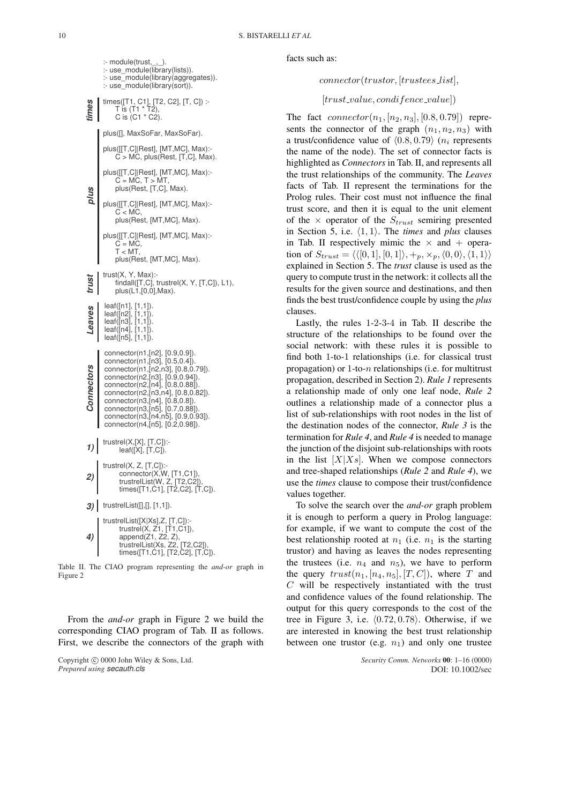

Table II. The CIAO program representing the *and-or* graph in Figure 2

From the *and-or* graph in Figure 2 we build the corresponding CIAO program of Tab. II as follows. First, we describe the connectors of the graph with facts such as:

connector(trustor, [trustees list],

 $[trust\_value, condifence\_value]$ 

The fact  $connector(n_1, [n_2, n_3], [0.8, 0.79])$  represents the connector of the graph  $(n_1, n_2, n_3)$  with a trust/confidence value of  $(0.8, 0.79)$  ( $n_i$  represents the name of the node). The set of connector facts is highlighted as *Connectors* in Tab. II, and represents all the trust relationships of the community. The *Leaves* facts of Tab. II represent the terminations for the Prolog rules. Their cost must not influence the final trust score, and then it is equal to the unit element of the  $\times$  operator of the  $S_{trust}$  semiring presented in Section 5, i.e.  $\langle 1, 1 \rangle$ . The *times* and *plus* clauses in Tab. II respectively mimic the  $\times$  and  $+$  operation of  $S_{trust} = \langle \langle [0, 1], [0, 1] \rangle, +p, \times_p, \langle 0, 0 \rangle, \langle 1, 1 \rangle \rangle$ explained in Section 5. The *trust* clause is used as the query to compute trust in the network: it collects all the results for the given source and destinations, and then finds the best trust/confidence couple by using the *plus* clauses.

Lastly, the rules 1-2-3-4 in Tab. II describe the structure of the relationships to be found over the social network: with these rules it is possible to find both 1-to-1 relationships (i.e. for classical trust propagation) or 1-to- $n$  relationships (i.e. for multitrust propagation, described in Section 2). *Rule 1* represents a relationship made of only one leaf node, *Rule 2* outlines a relationship made of a connector plus a list of sub-relationships with root nodes in the list of the destination nodes of the connector, *Rule 3* is the termination for *Rule 4*, and *Rule 4* is needed to manage the junction of the disjoint sub-relationships with roots in the list  $[X|Xs]$ . When we compose connectors and tree-shaped relationships (*Rule 2* and *Rule 4*), we use the *times* clause to compose their trust/confidence values together.

To solve the search over the *and-or* graph problem it is enough to perform a query in Prolog language: for example, if we want to compute the cost of the best relationship rooted at  $n_1$  (i.e.  $n_1$  is the starting trustor) and having as leaves the nodes representing the trustees (i.e.  $n_4$  and  $n_5$ ), we have to perform the query  $trust(n_1, [n_4, n_5], [T, C])$ , where T and C will be respectively instantiated with the trust and confidence values of the found relationship. The output for this query corresponds to the cost of the tree in Figure 3, i.e.  $(0.72, 0.78)$ . Otherwise, if we are interested in knowing the best trust relationship between one trustor (e.g.  $n_1$ ) and only one trustee

Copyright  $@$  0000 John Wiley & Sons, Ltd. *Prepared using secauth.cls*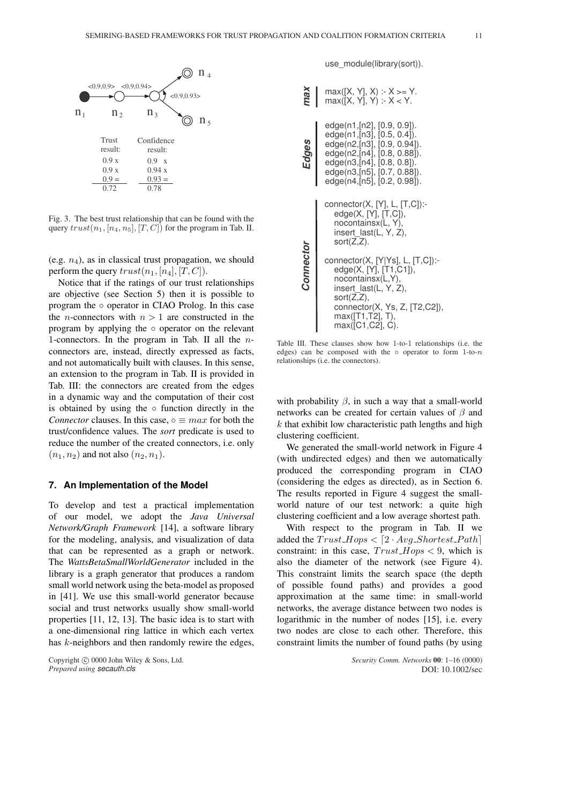

Fig. 3. The best trust relationship that can be found with the query  $trust(n_1, [n_4, n_5], [T, C])$  for the program in Tab. II.

(e.g.  $n_4$ ), as in classical trust propagation, we should perform the query  $trust(n_1, [n_4], [T, C])$ .

Notice that if the ratings of our trust relationships are objective (see Section 5) then it is possible to program the ◦ operator in CIAO Prolog. In this case the *n*-connectors with  $n > 1$  are constructed in the program by applying the ◦ operator on the relevant 1-connectors. In the program in Tab. II all the  $n$ connectors are, instead, directly expressed as facts, and not automatically built with clauses. In this sense, an extension to the program in Tab. II is provided in Tab. III: the connectors are created from the edges in a dynamic way and the computation of their cost is obtained by using the  $\circ$  function directly in the *Connector* clauses. In this case,  $\circ \equiv max$  for both the trust/confidence values. The *sort* predicate is used to reduce the number of the created connectors, i.e. only  $(n_1, n_2)$  and not also  $(n_2, n_1)$ .

## **7. An Implementation of the Model**

To develop and test a practical implementation of our model, we adopt the *Java Universal Network/Graph Framework* [14], a software library for the modeling, analysis, and visualization of data that can be represented as a graph or network. The *WattsBetaSmallWorldGenerator* included in the library is a graph generator that produces a random small world network using the beta-model as proposed in [41]. We use this small-world generator because social and trust networks usually show small-world properties [11, 12, 13]. The basic idea is to start with a one-dimensional ring lattice in which each vertex has k-neighbors and then randomly rewire the edges,

use\_module(library(sort)).



Table III. These clauses show how 1-to-1 relationships (i.e. the edges) can be composed with the  $\circ$  operator to form 1-to-n relationships (i.e. the connectors).

with probability  $\beta$ , in such a way that a small-world networks can be created for certain values of  $\beta$  and  $k$  that exhibit low characteristic path lengths and high clustering coefficient.

We generated the small-world network in Figure 4 (with undirected edges) and then we automatically produced the corresponding program in CIAO (considering the edges as directed), as in Section 6. The results reported in Figure 4 suggest the smallworld nature of our test network: a quite high clustering coefficient and a low average shortest path.

With respect to the program in Tab. II we added the  $Trust\_Hops < [2 \cdot Avg\_Shortest\_Path]$ constraint: in this case,  $Trust\_Hops < 9$ , which is also the diameter of the network (see Figure 4). This constraint limits the search space (the depth of possible found paths) and provides a good approximation at the same time: in small-world networks, the average distance between two nodes is logarithmic in the number of nodes [15], i.e. every two nodes are close to each other. Therefore, this constraint limits the number of found paths (by using

Copyright  $@$  0000 John Wiley & Sons, Ltd. *Prepared using secauth.cls*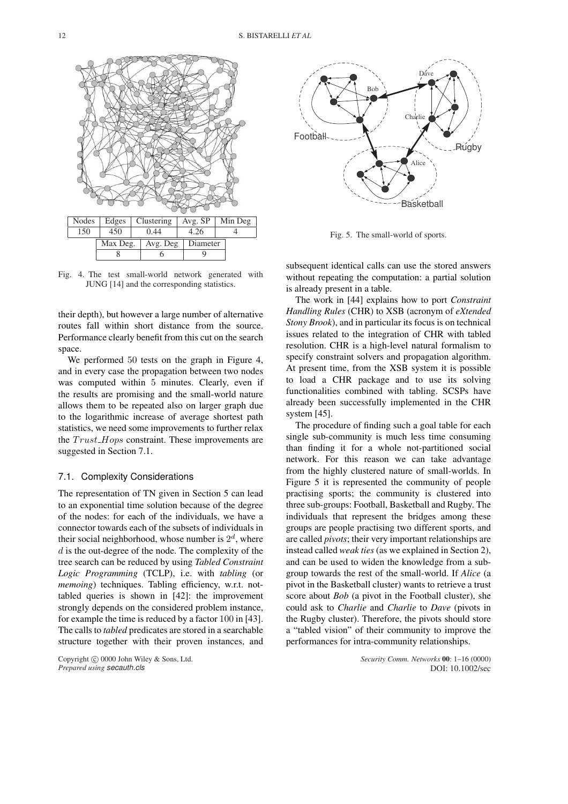

Fig. 4. The test small-world network generated with JUNG [14] and the corresponding statistics.

their depth), but however a large number of alternative routes fall within short distance from the source. Performance clearly benefit from this cut on the search space.

We performed 50 tests on the graph in Figure 4, and in every case the propagation between two nodes was computed within 5 minutes. Clearly, even if the results are promising and the small-world nature allows them to be repeated also on larger graph due to the logarithmic increase of average shortest path statistics, we need some improvements to further relax the  $Trust_Hops$  constraint. These improvements are suggested in Section 7.1.

#### 7.1. Complexity Considerations

The representation of TN given in Section 5 can lead to an exponential time solution because of the degree of the nodes: for each of the individuals, we have a connector towards each of the subsets of individuals in their social neighborhood, whose number is  $2^d$ , where  $d$  is the out-degree of the node. The complexity of the tree search can be reduced by using *Tabled Constraint Logic Programming* (TCLP), i.e. with *tabling* (or *memoing*) techniques. Tabling efficiency, w.r.t. nottabled queries is shown in [42]: the improvement strongly depends on the considered problem instance, for example the time is reduced by a factor 100 in [43]. The calls to *tabled* predicates are stored in a searchable structure together with their proven instances, and



Fig. 5. The small-world of sports.

subsequent identical calls can use the stored answers without repeating the computation: a partial solution is already present in a table.

The work in [44] explains how to port *Constraint Handling Rules* (CHR) to XSB (acronym of *eXtended Stony Brook*), and in particular its focus is on technical issues related to the integration of CHR with tabled resolution. CHR is a high-level natural formalism to specify constraint solvers and propagation algorithm. At present time, from the XSB system it is possible to load a CHR package and to use its solving functionalities combined with tabling. SCSPs have already been successfully implemented in the CHR system [45].

The procedure of finding such a goal table for each single sub-community is much less time consuming than finding it for a whole not-partitioned social network. For this reason we can take advantage from the highly clustered nature of small-worlds. In Figure 5 it is represented the community of people practising sports; the community is clustered into three sub-groups: Football, Basketball and Rugby. The individuals that represent the bridges among these groups are people practising two different sports, and are called *pivots*; their very important relationships are instead called *weak ties* (as we explained in Section 2), and can be used to widen the knowledge from a subgroup towards the rest of the small-world. If *Alice* (a pivot in the Basketball cluster) wants to retrieve a trust score about *Bob* (a pivot in the Football cluster), she could ask to *Charlie* and *Charlie* to *Dave* (pivots in the Rugby cluster). Therefore, the pivots should store a "tabled vision" of their community to improve the performances for intra-community relationships.

Copyright © 0000 John Wiley & Sons, Ltd. *Prepared using secauth.cls*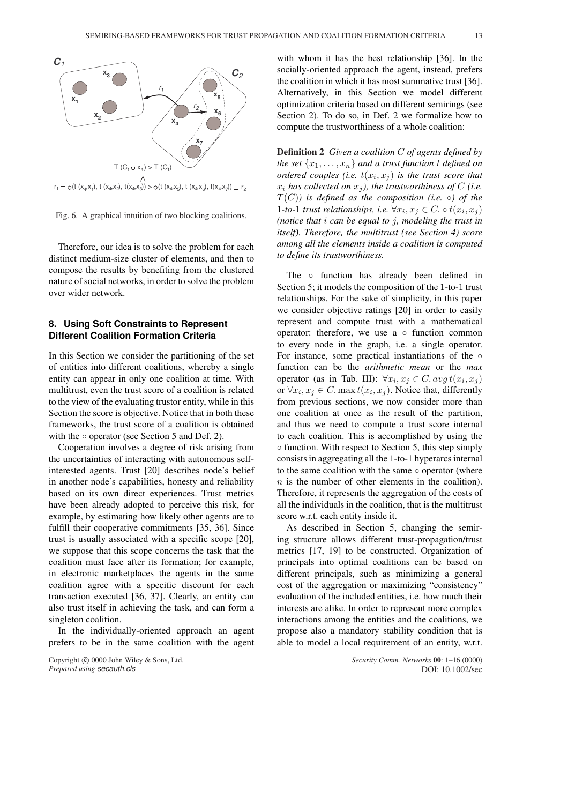

 $r_1 \equiv \bigcirc (t \ (x_4, x_1), \ t \ (x_4, x_2), \ t(x_4, x_3)) \gt o(t \ (x_4, x_5), \ t \ (x_4, x_6), \ t(x_4, x_7)) \equiv \ r_2$ 

Fig. 6. A graphical intuition of two blocking coalitions.

Therefore, our idea is to solve the problem for each distinct medium-size cluster of elements, and then to compose the results by benefiting from the clustered nature of social networks, in order to solve the problem over wider network.

## **8. Using Soft Constraints to Represent Different Coalition Formation Criteria**

In this Section we consider the partitioning of the set of entities into different coalitions, whereby a single entity can appear in only one coalition at time. With multitrust, even the trust score of a coalition is related to the view of the evaluating trustor entity, while in this Section the score is objective. Notice that in both these frameworks, the trust score of a coalition is obtained with the  $\circ$  operator (see Section 5 and Def. 2).

Cooperation involves a degree of risk arising from the uncertainties of interacting with autonomous selfinterested agents. Trust [20] describes node's belief in another node's capabilities, honesty and reliability based on its own direct experiences. Trust metrics have been already adopted to perceive this risk, for example, by estimating how likely other agents are to fulfill their cooperative commitments [35, 36]. Since trust is usually associated with a specific scope [20], we suppose that this scope concerns the task that the coalition must face after its formation; for example, in electronic marketplaces the agents in the same coalition agree with a specific discount for each transaction executed [36, 37]. Clearly, an entity can also trust itself in achieving the task, and can form a singleton coalition.

In the individually-oriented approach an agent prefers to be in the same coalition with the agent

with whom it has the best relationship [36]. In the socially-oriented approach the agent, instead, prefers the coalition in which it has most summative trust [36]. Alternatively, in this Section we model different optimization criteria based on different semirings (see Section 2). To do so, in Def. 2 we formalize how to compute the trustworthiness of a whole coalition:

Definition 2 *Given a coalition* C *of agents defined by the set*  $\{x_1, \ldots, x_n\}$  *and a trust function t defined on ordered couples (i.e.*  $t(x_i, x_j)$  *is the trust score that*  $x_i$  *has collected on*  $x_j$ *), the trustworthiness of* C *(i.e.*  $T(C)$ *)* is defined as the composition (i.e.  $\circ$ ) of the 1-to-1 *trust relationships, i.e.*  $\forall x_i, x_j \in C$ .  $\circ t(x_i, x_j)$ *(notice that* i *can be equal to* j*, modeling the trust in itself). Therefore, the multitrust (see Section 4) score among all the elements inside a coalition is computed to define its trustworthiness.*

The ∘ function has already been defined in Section 5; it models the composition of the 1-to-1 trust relationships. For the sake of simplicity, in this paper we consider objective ratings [20] in order to easily represent and compute trust with a mathematical operator: therefore, we use a  $\circ$  function common to every node in the graph, i.e. a single operator. For instance, some practical instantiations of the  $\circ$ function can be the *arithmetic mean* or the *max* operator (as in Tab. III):  $\forall x_i, x_j \in C$ .  $avg t(x_i, x_j)$ or  $\forall x_i, x_j \in C$ . max  $t(x_i, x_j)$ . Notice that, differently from previous sections, we now consider more than one coalition at once as the result of the partition, and thus we need to compute a trust score internal to each coalition. This is accomplished by using the ◦ function. With respect to Section 5, this step simply consists in aggregating all the 1-to-1 hyperarcs internal to the same coalition with the same ○ operator (where n is the number of other elements in the coalition). Therefore, it represents the aggregation of the costs of all the individuals in the coalition, that is the multitrust score w.r.t. each entity inside it.

As described in Section 5, changing the semiring structure allows different trust-propagation/trust metrics [17, 19] to be constructed. Organization of principals into optimal coalitions can be based on different principals, such as minimizing a general cost of the aggregation or maximizing "consistency" evaluation of the included entities, i.e. how much their interests are alike. In order to represent more complex interactions among the entities and the coalitions, we propose also a mandatory stability condition that is able to model a local requirement of an entity, w.r.t.

Copyright  $@$  0000 John Wiley & Sons, Ltd. *Prepared using secauth.cls*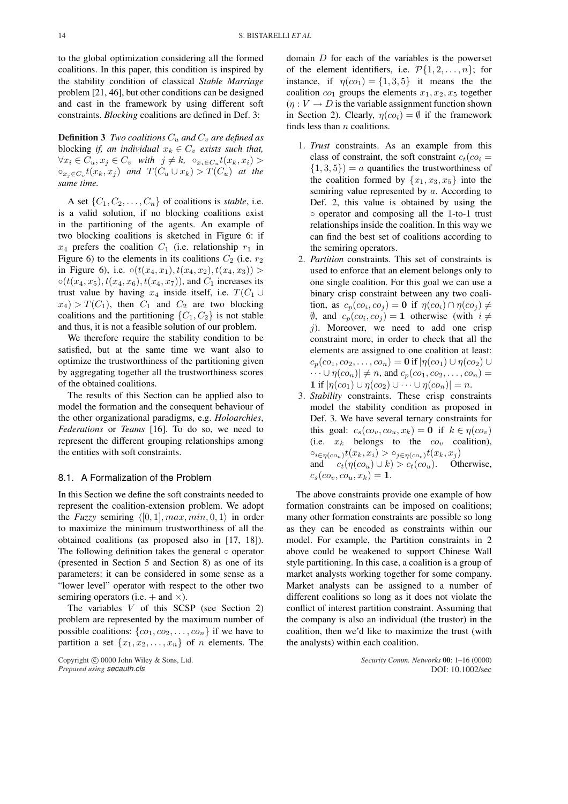to the global optimization considering all the formed coalitions. In this paper, this condition is inspired by the stability condition of classical *Stable Marriage* problem [21, 46], but other conditions can be designed and cast in the framework by using different soft constraints. *Blocking* coalitions are defined in Def. 3:

**Definition 3** *Two coalitions*  $C_u$  *and*  $C_v$  *are defined as* blocking *if, an individual*  $x_k \in C_v$  *exists such that,*  $\forall x_i \in C_u, x_j \in C_v$  with  $j \neq k$ ,  $\circ_{x_i \in C_u} t(x_k, x_i)$  $\circ_{x_j \in C_v} t(x_k, x_j)$  *and*  $T(C_u \cup x_k) > T(C_u)$  *at the same time.*

A set  $\{C_1, C_2, \ldots, C_n\}$  of coalitions is *stable*, i.e. is a valid solution, if no blocking coalitions exist in the partitioning of the agents. An example of two blocking coalitions is sketched in Figure 6: if  $x_4$  prefers the coalition  $C_1$  (i.e. relationship  $r_1$  in Figure 6) to the elements in its coalitions  $C_2$  (i.e.  $r_2$ ) in Figure 6), i.e.  $\circ (t(x_4, x_1), t(x_4, x_2), t(x_4, x_3)) >$  $o(t(x_4, x_5), t(x_4, x_6), t(x_4, x_7))$ , and  $C_1$  increases its trust value by having  $x_4$  inside itself, i.e.  $T(C_1 \cup$  $x_4$ ) >  $T(C_1)$ , then  $C_1$  and  $C_2$  are two blocking coalitions and the partitioning  $\{C_1, C_2\}$  is not stable and thus, it is not a feasible solution of our problem.

We therefore require the stability condition to be satisfied, but at the same time we want also to optimize the trustworthiness of the partitioning given by aggregating together all the trustworthiness scores of the obtained coalitions.

The results of this Section can be applied also to model the formation and the consequent behaviour of the other organizational paradigms, e.g. *Holoarchies*, *Federations* or *Teams* [16]. To do so, we need to represent the different grouping relationships among the entities with soft constraints.

### 8.1. A Formalization of the Problem

In this Section we define the soft constraints needed to represent the coalition-extension problem. We adopt the *Fuzzy* semiring  $\langle [0, 1], \max, \min, 0, 1 \rangle$  in order to maximize the minimum trustworthiness of all the obtained coalitions (as proposed also in [17, 18]). The following definition takes the general  $\circ$  operator (presented in Section 5 and Section 8) as one of its parameters: it can be considered in some sense as a "lower level" operator with respect to the other two semiring operators (i.e.  $+$  and  $\times$ ).

The variables V of this SCSP (see Section 2) problem are represented by the maximum number of possible coalitions:  $\{co_1, co_2, \ldots, co_n\}$  if we have to partition a set  $\{x_1, x_2, \ldots, x_n\}$  of *n* elements. The

domain  $D$  for each of the variables is the powerset of the element identifiers, i.e.  $\mathcal{P}{1, 2, ..., n}$ ; for instance, if  $\eta(c_0) = \{1, 3, 5\}$  it means the the coalition  $co_1$  groups the elements  $x_1, x_2, x_5$  together  $(n: V \rightarrow D$  is the variable assignment function shown in Section 2). Clearly,  $\eta(c_{i}) = \emptyset$  if the framework finds less than  $n$  coalitions.

- 1. *Trust* constraints. As an example from this class of constraint, the soft constraint  $c_t(c_{i} =$  $\{1,3,5\}$  = a quantifies the trustworthiness of the coalition formed by  $\{x_1, x_3, x_5\}$  into the semiring value represented by a. According to Def. 2, this value is obtained by using the ◦ operator and composing all the 1-to-1 trust relationships inside the coalition. In this way we can find the best set of coalitions according to the semiring operators.
- 2. *Partition* constraints. This set of constraints is used to enforce that an element belongs only to one single coalition. For this goal we can use a binary crisp constraint between any two coalition, as  $c_p(co_i, co_j) = \mathbf{0}$  if  $\eta(co_i) \cap \eta(co_j) \neq$  $\emptyset$ , and  $c_p(co_i, co_j) = 1$  otherwise (with  $i \neq$  $j$ ). Moreover, we need to add one crisp constraint more, in order to check that all the elements are assigned to one coalition at least:  $c_p(co_1, co_2, \ldots, co_n) = \mathbf{0}$  if  $|\eta(co_1) \cup \eta(co_2) \cup$  $\cdots \cup \eta(c\overline{o_n}) \neq n$ , and  $c_p(c\overline{o_1}, c\overline{o_2}, \ldots, c\overline{o_n}) =$ **1** if  $|\eta(co_1) \cup \eta(co_2) \cup \cdots \cup \eta(co_n)| = n$ .
- 3. *Stability* constraints. These crisp constraints model the stability condition as proposed in Def. 3. We have several ternary constraints for this goal:  $c_s(co_v, co_u, x_k) = \mathbf{0}$  if  $k \in \eta(co_v)$ (i.e.  $x_k$  belongs to the  $co_v$  coalition),  $\circ_{i \in \eta(c_{o_i})} t(x_k, x_i) > \circ_{j \in \eta(c_{o_i})} t(x_k, x_j)$ and  $c_t(\eta(c\circ u) \cup k) > c_t(c\circ u)$ . Otherwise,  $c_s(c_{o_v}, c_{o_u}, x_k) = 1.$

The above constraints provide one example of how formation constraints can be imposed on coalitions; many other formation constraints are possible so long as they can be encoded as constraints within our model. For example, the Partition constraints in 2 above could be weakened to support Chinese Wall style partitioning. In this case, a coalition is a group of market analysts working together for some company. Market analysts can be assigned to a number of different coalitions so long as it does not violate the conflict of interest partition constraint. Assuming that the company is also an individual (the trustor) in the coalition, then we'd like to maximize the trust (with the analysts) within each coalition.

Copyright  $\odot$  0000 John Wiley & Sons, Ltd. *Prepared using secauth.cls*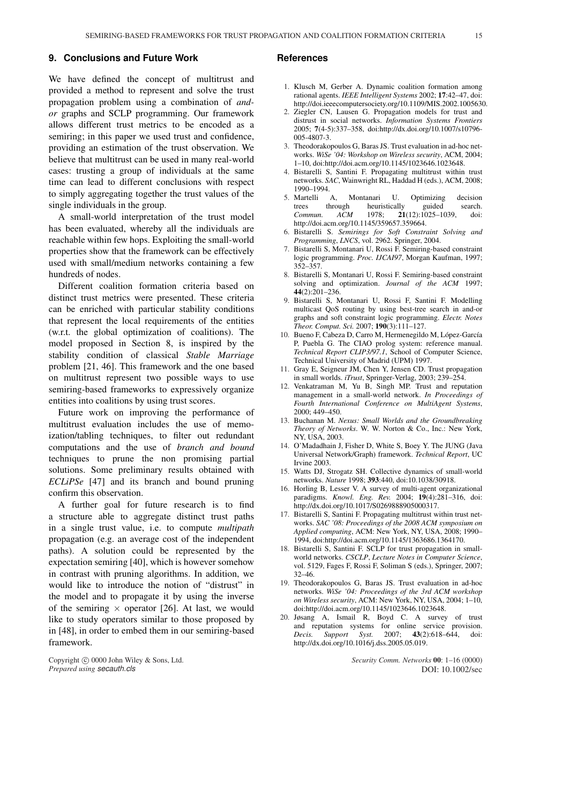#### **9. Conclusions and Future Work**

## We have defined the concept of multitrust and provided a method to represent and solve the trust propagation problem using a combination of *andor* graphs and SCLP programming. Our framework

allows different trust metrics to be encoded as a semiring; in this paper we used trust and confidence, providing an estimation of the trust observation. We believe that multitrust can be used in many real-world cases: trusting a group of individuals at the same time can lead to different conclusions with respect to simply aggregating together the trust values of the single individuals in the group.

A small-world interpretation of the trust model has been evaluated, whereby all the individuals are reachable within few hops. Exploiting the small-world properties show that the framework can be effectively used with small/medium networks containing a few hundreds of nodes.

Different coalition formation criteria based on distinct trust metrics were presented. These criteria can be enriched with particular stability conditions that represent the local requirements of the entities (w.r.t. the global optimization of coalitions). The model proposed in Section 8, is inspired by the stability condition of classical *Stable Marriage* problem [21, 46]. This framework and the one based on multitrust represent two possible ways to use semiring-based frameworks to expressively organize entities into coalitions by using trust scores.

Future work on improving the performance of multitrust evaluation includes the use of memoization/tabling techniques, to filter out redundant computations and the use of *branch and bound* techniques to prune the non promising partial solutions. Some preliminary results obtained with *ECLiPSe* [47] and its branch and bound pruning confirm this observation.

A further goal for future research is to find a structure able to aggregate distinct trust paths in a single trust value, i.e. to compute *multipath* propagation (e.g. an average cost of the independent paths). A solution could be represented by the expectation semiring [40], which is however somehow in contrast with pruning algorithms. In addition, we would like to introduce the notion of "distrust" in the model and to propagate it by using the inverse of the semiring  $\times$  operator [26]. At last, we would like to study operators similar to those proposed by in [48], in order to embed them in our semiring-based framework.

### **References**

- 1. Klusch M, Gerber A. Dynamic coalition formation among rational agents. *IEEE Intelligent Systems* 2002; 17:42–47, doi: http://doi.ieeecomputersociety.org/10.1109/MIS.2002.1005630.
- 2. Ziegler CN, Lausen G. Propagation models for trust and distrust in social networks. *Information Systems Frontiers* 2005; 7(4-5):337–358, doi:http://dx.doi.org/10.1007/s10796- 005-4807-3.
- 3. Theodorakopoulos G, Baras JS. Trust evaluation in ad-hoc networks. *WiSe '04: Workshop on Wireless security*, ACM, 2004; 1–10, doi:http://doi.acm.org/10.1145/1023646.1023648.
- 4. Bistarelli S, Santini F. Propagating multitrust within trust networks. *SAC*, Wainwright RL, Haddad H (eds.), ACM, 2008; 1990–1994.
- 5. Martelli A, Montanari U. Optimizing decision trees through heuristically guided search. *Commun. ACM* 1978; 21(12):1025–1039, doi: http://doi.acm.org/10.1145/359657.359664.
- 6. Bistarelli S. *Semirings for Soft Constraint Solving and Programming*, *LNCS*, vol. 2962. Springer, 2004.
- 7. Bistarelli S, Montanari U, Rossi F. Semiring-based constraint logic programming. *Proc. IJCAI97*, Morgan Kaufman, 1997; 352–357.
- 8. Bistarelli S, Montanari U, Rossi F. Semiring-based constraint solving and optimization. *Journal of the ACM* 1997;  $44(2):201-236.$
- 9. Bistarelli S, Montanari U, Rossi F, Santini F. Modelling multicast QoS routing by using best-tree search in and-or graphs and soft constraint logic programming. *Electr. Notes Theor. Comput. Sci.* 2007; 190(3):111–127.
- 10. Bueno F, Cabeza D, Carro M, Hermenegildo M, López-García P, Puebla G. The CIAO prolog system: reference manual. *Technical Report CLIP3/97.1*, School of Computer Science, Technical University of Madrid (UPM) 1997.
- 11. Gray E, Seigneur JM, Chen Y, Jensen CD. Trust propagation in small worlds. *iTrust*, Springer-Verlag, 2003; 239–254.
- 12. Venkatraman M, Yu B, Singh MP. Trust and reputation management in a small-world network. *In Proceedings of Fourth International Conference on MultiAgent Systems*, 2000; 449–450.
- 13. Buchanan M. *Nexus: Small Worlds and the Groundbreaking Theory of Networks*. W. W. Norton & Co., Inc.: New York, NY, USA, 2003.
- 14. O'Madadhain J, Fisher D, White S, Boey Y. The JUNG (Java Universal Network/Graph) framework. *Technical Report*, UC Irvine 2003.
- 15. Watts DJ, Strogatz SH. Collective dynamics of small-world networks. *Nature* 1998; 393:440, doi:10.1038/30918.
- 16. Horling B, Lesser V. A survey of multi-agent organizational paradigms. *Knowl. Eng. Rev.* 2004; 19(4):281–316, doi: http://dx.doi.org/10.1017/S0269888905000317.
- 17. Bistarelli S, Santini F. Propagating multitrust within trust networks. *SAC '08: Proceedings of the 2008 ACM symposium on Applied computing*, ACM: New York, NY, USA, 2008; 1990– 1994, doi:http://doi.acm.org/10.1145/1363686.1364170.
- 18. Bistarelli S, Santini F. SCLP for trust propagation in smallworld networks. *CSCLP*, *Lecture Notes in Computer Science*, vol. 5129, Fages F, Rossi F, Soliman S (eds.), Springer, 2007; 32–46.
- 19. Theodorakopoulos G, Baras JS. Trust evaluation in ad-hoc networks. *WiSe '04: Proceedings of the 3rd ACM workshop on Wireless security*, ACM: New York, NY, USA, 2004; 1–10, doi:http://doi.acm.org/10.1145/1023646.1023648.
- 20. Jøsang A, Ismail R, Boyd C. A survey of trust and reputation systems for online service provision. *Decis.* Support Syst. 2007; **43**(2):618–644, http://dx.doi.org/10.1016/j.dss.2005.05.019.